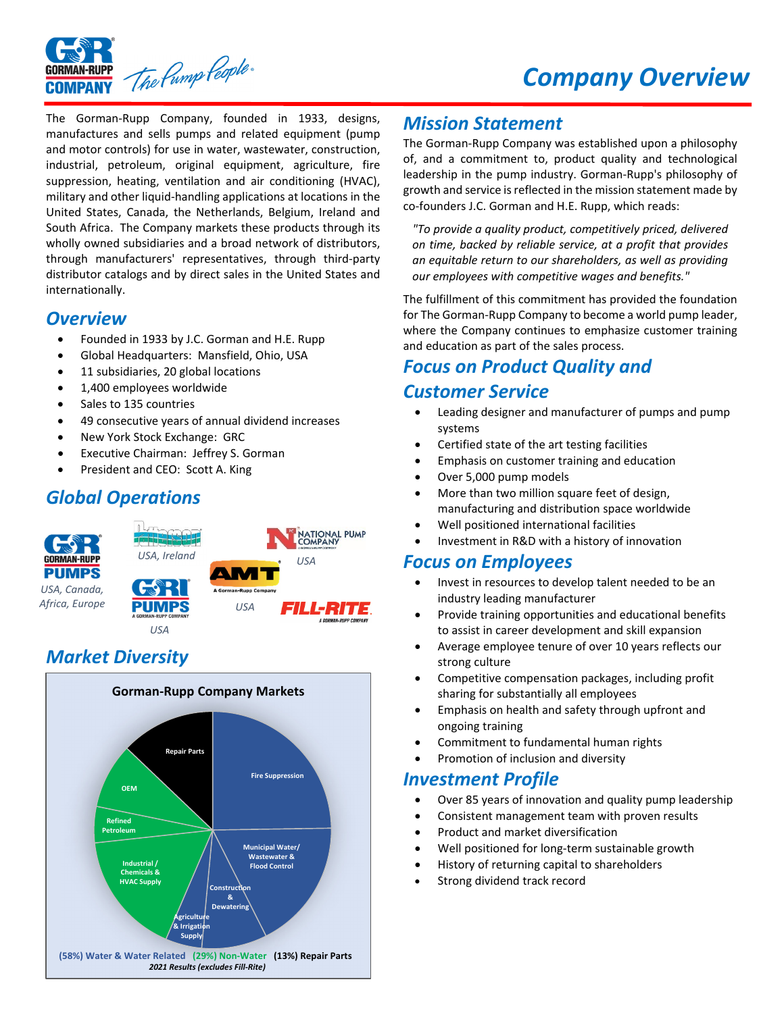



The Gorman‐Rupp Company, founded in 1933, designs, manufactures and sells pumps and related equipment (pump and motor controls) for use in water, wastewater, construction, industrial, petroleum, original equipment, agriculture, fire suppression, heating, ventilation and air conditioning (HVAC), military and other liquid‐handling applications at locations in the United States, Canada, the Netherlands, Belgium, Ireland and South Africa. The Company markets these products through its wholly owned subsidiaries and a broad network of distributors, through manufacturers' representatives, through third‐party distributor catalogs and by direct sales in the United States and internationally.

#### *Overview*

- Founded in 1933 by J.C. Gorman and H.E. Rupp
- Global Headquarters: Mansfield, Ohio, USA
- 11 subsidiaries, 20 global locations
- 1,400 employees worldwide
- Sales to 135 countries
- 49 consecutive years of annual dividend increases
- New York Stock Exchange: GRC
- Executive Chairman: Jeffrey S. Gorman
- President and CEO: Scott A. King

# *Global Operations*



## *Market Diversity*



### *Mission Statement*

The Gorman‐Rupp Company was established upon a philosophy of, and a commitment to, product quality and technological leadership in the pump industry. Gorman‐Rupp's philosophy of growth and service is reflected in the mission statement made by co-founders J.C. Gorman and H.E. Rupp, which reads:

*"To provide a quality product, competitively priced, delivered on time, backed by reliable service, at a profit that provides an equitable return to our shareholders, as well as providing our employees with competitive wages and benefits."*

The fulfillment of this commitment has provided the foundation for The Gorman‐Rupp Company to become a world pump leader, where the Company continues to emphasize customer training and education as part of the sales process.

# *Focus on Product Quality and*

#### *Customer Service*

- Leading designer and manufacturer of pumps and pump systems
- Certified state of the art testing facilities
- **•** Emphasis on customer training and education
- Over 5,000 pump models
- More than two million square feet of design, manufacturing and distribution space worldwide
- Well positioned international facilities
- Investment in R&D with a history of innovation

#### *Focus on Employees*

- Invest in resources to develop talent needed to be an industry leading manufacturer
- Provide training opportunities and educational benefits to assist in career development and skill expansion
- Average employee tenure of over 10 years reflects our strong culture
- Competitive compensation packages, including profit sharing for substantially all employees
- Emphasis on health and safety through upfront and ongoing training
- Commitment to fundamental human rights
- Promotion of inclusion and diversity

#### *Investment Profile*

- Over 85 years of innovation and quality pump leadership
- Consistent management team with proven results
- Product and market diversification
- Well positioned for long-term sustainable growth
- History of returning capital to shareholders
- Strong dividend track record